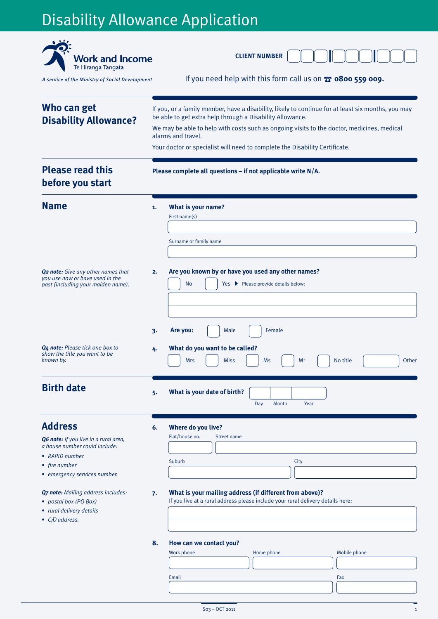# Disability Allowance Application

| <b>Work and Income</b><br>Te Hiranga Tangata                                                                                                                                                                                      |                                                                                                                                                                                                                                                                                                                                                                    | <b>CLIENT NUMBER</b>                                                                                                                                                                                                |  |  |  |
|-----------------------------------------------------------------------------------------------------------------------------------------------------------------------------------------------------------------------------------|--------------------------------------------------------------------------------------------------------------------------------------------------------------------------------------------------------------------------------------------------------------------------------------------------------------------------------------------------------------------|---------------------------------------------------------------------------------------------------------------------------------------------------------------------------------------------------------------------|--|--|--|
| A service of the Ministry of Social Development                                                                                                                                                                                   |                                                                                                                                                                                                                                                                                                                                                                    | If you need help with this form call us on $\mathbf{\Omega}$ 0800 559 009.                                                                                                                                          |  |  |  |
| Who can get<br><b>Disability Allowance?</b>                                                                                                                                                                                       | If you, or a family member, have a disability, likely to continue for at least six months, you may<br>be able to get extra help through a Disability Allowance.<br>We may be able to help with costs such as ongoing visits to the doctor, medicines, medical<br>alarms and travel.<br>Your doctor or specialist will need to complete the Disability Certificate. |                                                                                                                                                                                                                     |  |  |  |
| <b>Please read this</b><br>Please complete all questions - if not applicable write N/A.<br>before you start                                                                                                                       |                                                                                                                                                                                                                                                                                                                                                                    |                                                                                                                                                                                                                     |  |  |  |
| <b>Name</b>                                                                                                                                                                                                                       | 1.                                                                                                                                                                                                                                                                                                                                                                 | What is your name?<br>First name(s)<br>Surname or family name                                                                                                                                                       |  |  |  |
| <b>Q<sub>2</sub> note:</b> Give any other names that<br>you use now or have used in the<br>past (including your maiden name).                                                                                                     | 2.                                                                                                                                                                                                                                                                                                                                                                 | Are you known by or have you used any other names?<br>No<br>Yes ▶ Please provide details below:                                                                                                                     |  |  |  |
| Q4 note: Please tick one box to<br>show the title you want to be<br>known by.                                                                                                                                                     | 3.<br>4.                                                                                                                                                                                                                                                                                                                                                           | Are you:<br>Male<br>Female<br>What do you want to be called?<br>No title<br>Other<br><b>Mrs</b><br><b>Miss</b><br>Ms<br>Mr                                                                                          |  |  |  |
| <b>Birth date</b>                                                                                                                                                                                                                 | 5.                                                                                                                                                                                                                                                                                                                                                                 | What is your date of birth?<br>Month<br>Day<br>Year                                                                                                                                                                 |  |  |  |
| <b>Address</b><br>Q6 note: If you live in a rural area,<br>a house number could include:<br>• RAPID number<br>• fire number<br>• emergency services number.<br><b>Q7 note:</b> Mailing address includes:<br>• postal box (PO Box) | 6.<br>7.                                                                                                                                                                                                                                                                                                                                                           | Where do you live?<br>Flat/house no.<br>Street name<br>Suburb<br>City<br>What is your mailing address (if different from above)?<br>If you live at a rural address please include your rural delivery details here: |  |  |  |
| • rural delivery details<br>• C/O address.                                                                                                                                                                                        | 8.                                                                                                                                                                                                                                                                                                                                                                 | How can we contact you?<br>Work phone<br>Home phone<br>Mobile phone                                                                                                                                                 |  |  |  |
|                                                                                                                                                                                                                                   |                                                                                                                                                                                                                                                                                                                                                                    | Email<br>Fax                                                                                                                                                                                                        |  |  |  |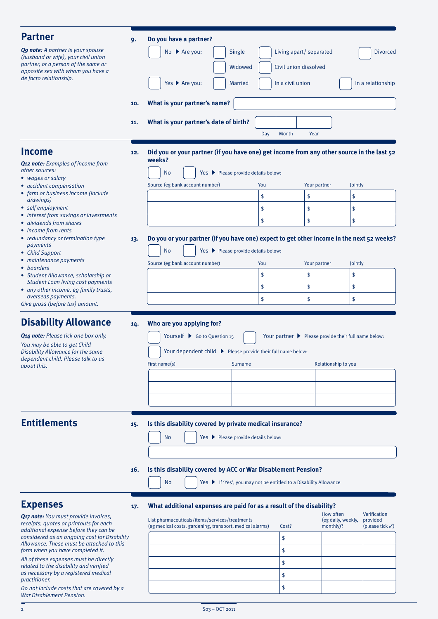| <b>Partner</b>                                                                        | 9.                                               | Do you have a partner?                                                                                     |                  |                         |                                                               |
|---------------------------------------------------------------------------------------|--------------------------------------------------|------------------------------------------------------------------------------------------------------------|------------------|-------------------------|---------------------------------------------------------------|
| <b>Q9 note:</b> A partner is your spouse                                              |                                                  | No ▶ Are you:<br>Single                                                                                    |                  | Living apart/ separated | <b>Divorced</b>                                               |
| (husband or wife), your civil union<br>partner, or a person of the same or            |                                                  | Widowed                                                                                                    |                  | Civil union dissolved   |                                                               |
| opposite sex with whom you have a<br>de facto relationship.                           |                                                  |                                                                                                            |                  |                         |                                                               |
|                                                                                       |                                                  | Yes ▶ Are you:<br><b>Married</b>                                                                           | In a civil union |                         | In a relationship                                             |
|                                                                                       | 10.                                              | What is your partner's name?                                                                               |                  |                         |                                                               |
|                                                                                       | 11.                                              | What is your partner's date of birth?                                                                      |                  |                         |                                                               |
|                                                                                       |                                                  |                                                                                                            | Day<br>Month     | Year                    |                                                               |
| <b>Income</b>                                                                         |                                                  | Did you or your partner (if you have one) get income from any other source in the last 52                  |                  |                         |                                                               |
| <b>Q12 note:</b> Examples of income from                                              | 12.                                              | weeks?                                                                                                     |                  |                         |                                                               |
| other sources:                                                                        |                                                  | <b>No</b><br>Yes ▶ Please provide details below:                                                           |                  |                         |                                                               |
| • wages or salary<br>• accident compensation                                          |                                                  | Source (eg bank account number)                                                                            | You              | Your partner            | Jointly                                                       |
| • farm or business income (include<br>drawings)                                       |                                                  |                                                                                                            | \$               | \$                      | \$                                                            |
| • self employment                                                                     |                                                  |                                                                                                            | \$               | \$                      | \$                                                            |
| • interest from savings or investments<br>· dividends from shares                     |                                                  |                                                                                                            | \$               | \$                      | \$                                                            |
| • income from rents                                                                   |                                                  |                                                                                                            |                  |                         |                                                               |
| • redundancy or termination type<br>payments                                          | 13.                                              | Do you or your partner (if you have one) expect to get other income in the next 52 weeks?                  |                  |                         |                                                               |
| • Child Support<br>• maintenance payments                                             | Yes ▶ Please provide details below:<br><b>No</b> |                                                                                                            |                  |                         |                                                               |
| • boarders                                                                            |                                                  | Source (eg bank account number)                                                                            | You              | Your partner            | Jointly                                                       |
| • Student Allowance, scholarship or<br><b>Student Loan living cost payments</b>       |                                                  |                                                                                                            | \$               | \$                      | \$                                                            |
| • any other income, eq family trusts,                                                 |                                                  |                                                                                                            | \$               | \$                      | \$                                                            |
| overseas payments.<br>Give gross (before tax) amount.                                 |                                                  |                                                                                                            | \$               | \$                      | \$                                                            |
|                                                                                       |                                                  |                                                                                                            |                  |                         |                                                               |
| <b>Disability Allowance</b>                                                           | 14.                                              | Who are you applying for?                                                                                  |                  |                         |                                                               |
| Q14 note: Please tick one box only.<br>You may be able to get Child                   |                                                  | Yourself ▶ Go to Question 15                                                                               |                  |                         | Your partner > Please provide their full name below:          |
| Disability Allowance for the same                                                     |                                                  | Your dependent child ▶ Please provide their full name below:                                               |                  |                         |                                                               |
| dependent child. Please talk to us<br>about this.                                     |                                                  | First name(s)<br>Surname                                                                                   |                  | Relationship to you     |                                                               |
|                                                                                       |                                                  |                                                                                                            |                  |                         |                                                               |
|                                                                                       |                                                  |                                                                                                            |                  |                         |                                                               |
|                                                                                       |                                                  |                                                                                                            |                  |                         |                                                               |
|                                                                                       |                                                  |                                                                                                            |                  |                         |                                                               |
| <b>Entitlements</b>                                                                   | 15.                                              | Is this disability covered by private medical insurance?                                                   |                  |                         |                                                               |
|                                                                                       |                                                  | No<br>Yes ▶ Please provide details below:                                                                  |                  |                         |                                                               |
|                                                                                       |                                                  |                                                                                                            |                  |                         |                                                               |
|                                                                                       |                                                  |                                                                                                            |                  |                         |                                                               |
|                                                                                       | 16.                                              | Is this disability covered by ACC or War Disablement Pension?                                              |                  |                         |                                                               |
|                                                                                       |                                                  | <b>No</b><br>Yes ▶ If 'Yes', you may not be entitled to a Disability Allowance                             |                  |                         |                                                               |
|                                                                                       |                                                  |                                                                                                            |                  |                         |                                                               |
| <b>Expenses</b>                                                                       | 17.                                              | What additional expenses are paid for as a result of the disability?                                       |                  | How often               | Verification                                                  |
| Q17 note: You must provide invoices,<br>receipts, quotes or printouts for each        |                                                  | List pharmaceuticals/items/services/treatments<br>(eg medical costs, gardening, transport, medical alarms) | Cost?            | monthly)?               | (eg daily, weekly,<br>provided<br>(please tick $\checkmark$ ) |
| additional expense before they can be<br>considered as an ongoing cost for Disability |                                                  |                                                                                                            | \$               |                         |                                                               |
| Allowance. These must be attached to this<br>form when you have completed it.         |                                                  |                                                                                                            | \$               |                         |                                                               |
| All of these expenses must be directly                                                |                                                  |                                                                                                            | \$               |                         |                                                               |

*related to the disability and verified as necessary by a registered medical practitioner.*

*Do not include costs that are covered by a War Disablement Pension.*

\$ \$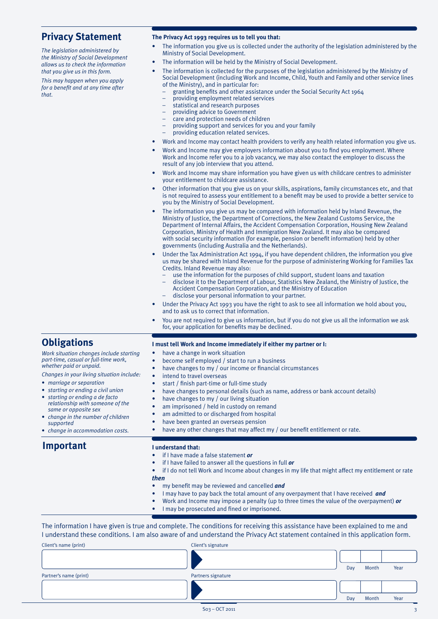### **Privacy Statement**

*The legislation administered by the Ministry of Social Development allows us to check the information that you give us in this form.*

*This may happen when you apply for a benefit and at any time after that.*

#### **The Privacy Act 1993 requires us to tell you that:**

- The information you give us is collected under the authority of the legislation administered by the Ministry of Social Development.
- The information will be held by the Ministry of Social Development.
- The information is collected for the purposes of the legislation administered by the Ministry of Social Development (including Work and Income, Child, Youth and Family and other service lines of the Ministry), and in particular for:
	- granting benefits and other assistance under the Social Security Act 1964
	- providing employment related services
	- statistical and research purposes
	- providing advice to Government
	- care and protection needs of children
	- providing support and services for you and your family
	- providing education related services.
- Work and Income may contact health providers to verify any health related information you give us.
- Work and Income may give employers information about you to find you employment. Where Work and Income refer you to a job vacancy, we may also contact the employer to discuss the result of any job interview that you attend.
- Work and Income may share information you have given us with childcare centres to administer your entitlement to childcare assistance.
- Other information that you give us on your skills, aspirations, family circumstances etc, and that is not required to assess your entitlement to a benefit may be used to provide a better service to you by the Ministry of Social Development.
- The information you give us may be compared with information held by Inland Revenue, the Ministry of Justice, the Department of Corrections, the New Zealand Customs Service, the Department of Internal Affairs, the Accident Compensation Corporation, Housing New Zealand Corporation, Ministry of Health and Immigration New Zealand. It may also be compared with social security information (for example, pension or benefit information) held by other governments (including Australia and the Netherlands).
- Under the Tax Administration Act 1994, if you have dependent children, the information you give us may be shared with Inland Revenue for the purpose of administering Working for Families Tax Credits. Inland Revenue may also:
	- use the information for the purposes of child support, student loans and taxation
	- disclose it to the Department of Labour, Statistics New Zealand, the Ministry of Justice, the Accident Compensation Corporation, and the Ministry of Education
	- disclose your personal information to your partner.

**I must tell Work and Income immediately if either my partner or I:**

- Under the Privacy Act 1993 you have the right to ask to see all information we hold about you, and to ask us to correct that information.
- You are not required to give us information, but if you do not give us all the information we ask for, your application for benefits may be declined.

## **Obligations**

| • starting or ending a de facto<br>relationship with someone of the<br>same or opposite sex<br>• change in the number of children<br>supported<br>• change in accommodation costs.<br><b>Important</b> | have changes to my / our living situation<br>$\bullet$<br>am imprisoned / held in custody on remand<br>$\bullet$<br>am admitted to or discharged from hospital<br>0<br>have been granted an overseas pension<br>۰<br>have any other changes that may affect my / our benefit entitlement or rate.<br>۰<br>I understand that: |  |  |  |
|--------------------------------------------------------------------------------------------------------------------------------------------------------------------------------------------------------|------------------------------------------------------------------------------------------------------------------------------------------------------------------------------------------------------------------------------------------------------------------------------------------------------------------------------|--|--|--|
|                                                                                                                                                                                                        | if I have made a false statement or<br>if I have failed to answer all the questions in full <i>or</i><br>$\bullet$<br>if I do not tell Work and Income about changes in my life that might affect my entitlement or rate                                                                                                     |  |  |  |
|                                                                                                                                                                                                        |                                                                                                                                                                                                                                                                                                                              |  |  |  |

- my benefit may be reviewed and cancelled *and*
- I may have to pay back the total amount of any overpayment that I have received *and*
- Work and Income may impose a penalty (up to three times the value of the overpayment) *or*
- I may be prosecuted and fined or imprisoned.

The information I have given is true and complete. The conditions for receiving this assistance have been explained to me and I understand these conditions. I am also aware of and understand the Privacy Act statement contained in this application form.

| Client's name (print)  | Client's signature |     |       |      |
|------------------------|--------------------|-----|-------|------|
|                        |                    |     |       |      |
|                        |                    | Day | Month | Year |
| Partner's name (print) | Partners signature |     |       |      |
|                        |                    |     |       |      |
|                        |                    | Day | Month | Year |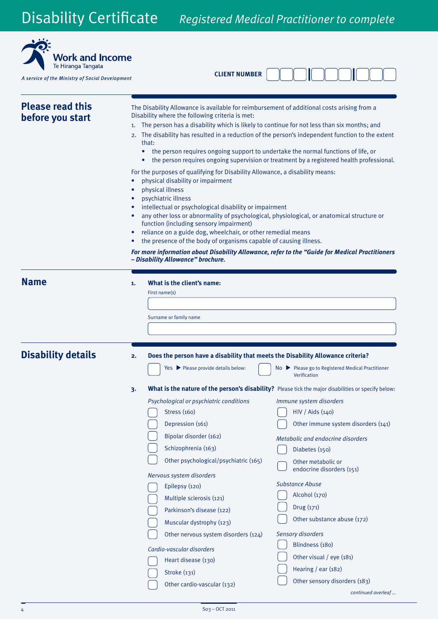

**CLIENT NUMBER**

| <b>Please read this</b><br>before you start | The Disability Allowance is available for reimbursement of additional costs arising from a<br>Disability where the following criteria is met:<br>The person has a disability which is likely to continue for not less than six months; and<br>1.<br>The disability has resulted in a reduction of the person's independent function to the extent<br>2.<br>that:<br>the person requires ongoing support to undertake the normal functions of life, or<br>$\bullet$<br>the person requires ongoing supervision or treatment by a registered health professional.<br>For the purposes of qualifying for Disability Allowance, a disability means:<br>physical disability or impairment<br>physical illness<br>psychiatric illness<br>intellectual or psychological disability or impairment<br>any other loss or abnormality of psychological, physiological, or anatomical structure or<br>function (including sensory impairment)<br>reliance on a guide dog, wheelchair, or other remedial means<br>the presence of the body of organisms capable of causing illness.<br>For more information about Disability Allowance, refer to the "Guide for Medical Practitioners<br>- Disability Allowance" brochure. |
|---------------------------------------------|---------------------------------------------------------------------------------------------------------------------------------------------------------------------------------------------------------------------------------------------------------------------------------------------------------------------------------------------------------------------------------------------------------------------------------------------------------------------------------------------------------------------------------------------------------------------------------------------------------------------------------------------------------------------------------------------------------------------------------------------------------------------------------------------------------------------------------------------------------------------------------------------------------------------------------------------------------------------------------------------------------------------------------------------------------------------------------------------------------------------------------------------------------------------------------------------------------------|
| <b>Name</b>                                 | What is the client's name:<br>1.<br>First name(s)<br>Surname or family name                                                                                                                                                                                                                                                                                                                                                                                                                                                                                                                                                                                                                                                                                                                                                                                                                                                                                                                                                                                                                                                                                                                                   |
| <b>Disability details</b>                   | Does the person have a disability that meets the Disability Allowance criteria?<br>2.<br>Yes Please provide details below:<br>$No$ Please go to Registered Medical Practitioner<br>Verification                                                                                                                                                                                                                                                                                                                                                                                                                                                                                                                                                                                                                                                                                                                                                                                                                                                                                                                                                                                                               |
|                                             | What is the nature of the person's disability? Please tick the major disabilities or specify below:<br>3.<br>Psychological or psychiatric conditions<br>Immune system disorders<br><b>Stress (160)</b><br>HIV / Aids (140)<br>Depression (161)<br>Other immune system disorders (141)<br>Bipolar disorder (162)<br>Metabolic and endocrine disorders<br>Schizophrenia (163)<br>Diabetes (150)<br>Other psychological/psychiatric (165)<br>Other metabolic or<br>endocrine disorders (151)<br>Nervous system disorders<br><b>Substance Abuse</b><br>Epilepsy (120)<br>Alcohol (170)<br>Multiple sclerosis (121)<br>Drug (171)<br>Parkinson's disease (122)<br>Other substance abuse (172)<br>Muscular dystrophy (123)<br>Sensory disorders<br>Other nervous system disorders (124)<br>Blindness (180)<br>Cardio-vascular disorders<br>Other visual / eye (181)<br>Heart disease (130)<br>Hearing / ear (182)<br>Stroke (131)<br>Other sensory disorders (183)<br>Other cardio-vascular (132)                                                                                                                                                                                                                   |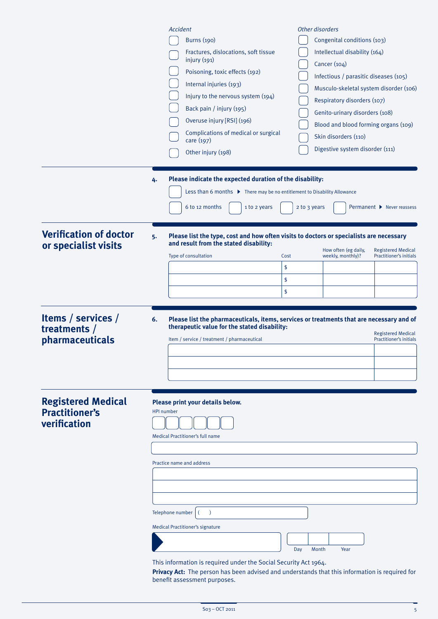|                                                                    | Other disorders<br>Accident<br><b>Burns</b> (190)<br>Fractures, dislocations, soft tissue<br>injury $(191)$<br>Cancer (104)<br>Poisoning, toxic effects (192)<br>Internal injuries (193)<br>Injury to the nervous system (194)<br>Back pain / injury (195)<br>Overuse injury [RSI] (196)<br>Complications of medical or surgical<br>Skin disorders (110)<br>care (197)<br>Other injury (198) | Congenital conditions (103)<br>Intellectual disability (164)<br>Infectious / parasitic diseases (105)<br>Musculo-skeletal system disorder (106)<br>Respiratory disorders (107)<br>Genito-urinary disorders (108)<br>Blood and blood forming organs (109)<br>Digestive system disorder (111) |
|--------------------------------------------------------------------|----------------------------------------------------------------------------------------------------------------------------------------------------------------------------------------------------------------------------------------------------------------------------------------------------------------------------------------------------------------------------------------------|---------------------------------------------------------------------------------------------------------------------------------------------------------------------------------------------------------------------------------------------------------------------------------------------|
|                                                                    | Please indicate the expected duration of the disability:<br>4.<br>Less than 6 months ▶ There may be no entitlement to Disability Allowance<br>6 to 12 months<br>2 to 3 years<br>1 to 2 years                                                                                                                                                                                                 | Permanent ▶ Never reassess                                                                                                                                                                                                                                                                  |
| <b>Verification of doctor</b><br>or specialist visits              | Please list the type, cost and how often visits to doctors or specialists are necessary<br>5.<br>and result from the stated disability:<br>How often (eg daily,<br>weekly, monthly)?<br>Type of consultation<br>Cost<br>\$<br>\$                                                                                                                                                             | <b>Registered Medical</b><br><b>Practitioner's initials</b>                                                                                                                                                                                                                                 |
| Items / services /<br>treatments $/$<br>pharmaceuticals            | \$<br>6.<br>Please list the pharmaceuticals, items, services or treatments that are necessary and of<br>therapeutic value for the stated disability:<br>Item / service / treatment / pharmaceutical                                                                                                                                                                                          | <b>Registered Medical</b><br>Practitioner's initials                                                                                                                                                                                                                                        |
| <b>Registered Medical</b><br><b>Practitioner's</b><br>verification | Please print your details below.<br><b>HPI number</b><br>Medical Practitioner's full name<br>Practice name and address                                                                                                                                                                                                                                                                       |                                                                                                                                                                                                                                                                                             |
|                                                                    | Telephone number<br>$\rightarrow$<br><b>Medical Practitioner's signature</b><br>Day<br>Month<br>This information is required under the Social Security Act 1964.<br>Privacy Act: The person has been advised and understands that this information is required for<br>benefit assessment purposes.                                                                                           | Year                                                                                                                                                                                                                                                                                        |